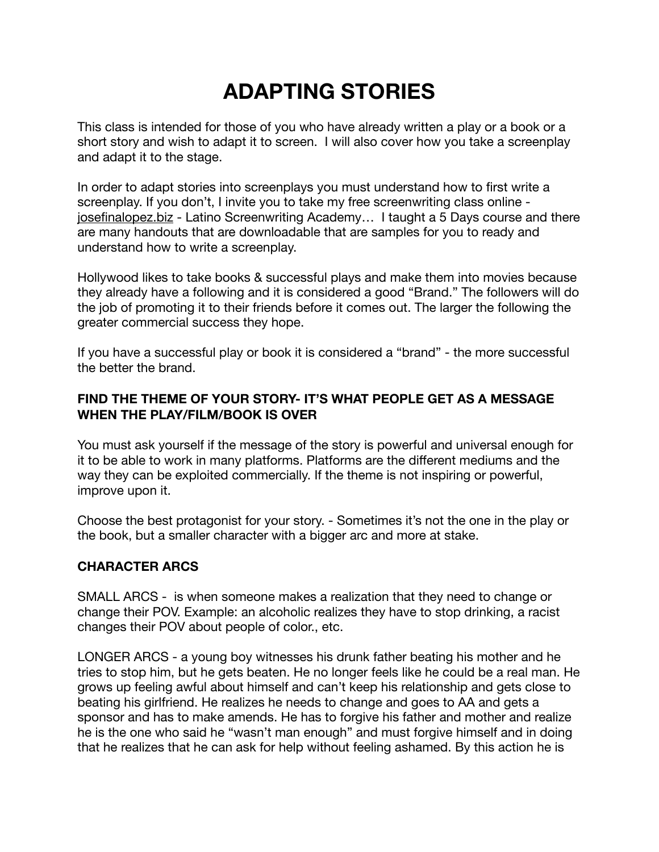# **ADAPTING STORIES**

This class is intended for those of you who have already written a play or a book or a short story and wish to adapt it to screen. I will also cover how you take a screenplay and adapt it to the stage.

In order to adapt stories into screenplays you must understand how to first write a screenplay. If you don't, I invite you to take my free screenwriting class online [josefinalopez.biz](http://josefinalopez.biz) - Latino Screenwriting Academy… I taught a 5 Days course and there are many handouts that are downloadable that are samples for you to ready and understand how to write a screenplay.

Hollywood likes to take books & successful plays and make them into movies because they already have a following and it is considered a good "Brand." The followers will do the job of promoting it to their friends before it comes out. The larger the following the greater commercial success they hope.

If you have a successful play or book it is considered a "brand" - the more successful the better the brand.

## **FIND THE THEME OF YOUR STORY- IT'S WHAT PEOPLE GET AS A MESSAGE WHEN THE PLAY/FILM/BOOK IS OVER**

You must ask yourself if the message of the story is powerful and universal enough for it to be able to work in many platforms. Platforms are the different mediums and the way they can be exploited commercially. If the theme is not inspiring or powerful, improve upon it.

Choose the best protagonist for your story. - Sometimes it's not the one in the play or the book, but a smaller character with a bigger arc and more at stake.

## **CHARACTER ARCS**

SMALL ARCS - is when someone makes a realization that they need to change or change their POV. Example: an alcoholic realizes they have to stop drinking, a racist changes their POV about people of color., etc.

LONGER ARCS - a young boy witnesses his drunk father beating his mother and he tries to stop him, but he gets beaten. He no longer feels like he could be a real man. He grows up feeling awful about himself and can't keep his relationship and gets close to beating his girlfriend. He realizes he needs to change and goes to AA and gets a sponsor and has to make amends. He has to forgive his father and mother and realize he is the one who said he "wasn't man enough" and must forgive himself and in doing that he realizes that he can ask for help without feeling ashamed. By this action he is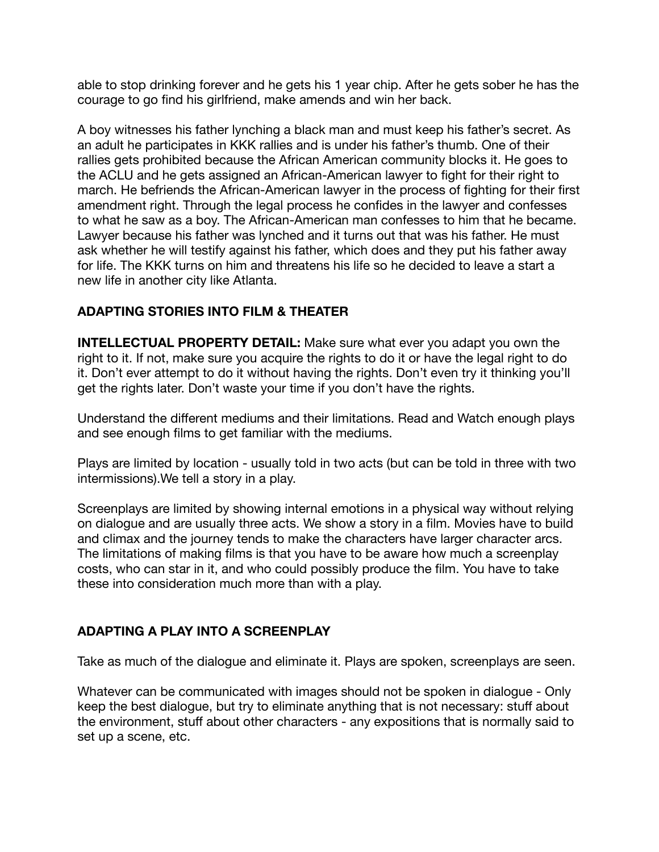able to stop drinking forever and he gets his 1 year chip. After he gets sober he has the courage to go find his girlfriend, make amends and win her back.

A boy witnesses his father lynching a black man and must keep his father's secret. As an adult he participates in KKK rallies and is under his father's thumb. One of their rallies gets prohibited because the African American community blocks it. He goes to the ACLU and he gets assigned an African-American lawyer to fight for their right to march. He befriends the African-American lawyer in the process of fighting for their first amendment right. Through the legal process he confides in the lawyer and confesses to what he saw as a boy. The African-American man confesses to him that he became. Lawyer because his father was lynched and it turns out that was his father. He must ask whether he will testify against his father, which does and they put his father away for life. The KKK turns on him and threatens his life so he decided to leave a start a new life in another city like Atlanta.

#### **ADAPTING STORIES INTO FILM & THEATER**

**INTELLECTUAL PROPERTY DETAIL:** Make sure what ever you adapt you own the right to it. If not, make sure you acquire the rights to do it or have the legal right to do it. Don't ever attempt to do it without having the rights. Don't even try it thinking you'll get the rights later. Don't waste your time if you don't have the rights.

Understand the different mediums and their limitations. Read and Watch enough plays and see enough films to get familiar with the mediums.

Plays are limited by location - usually told in two acts (but can be told in three with two intermissions).We tell a story in a play.

Screenplays are limited by showing internal emotions in a physical way without relying on dialogue and are usually three acts. We show a story in a film. Movies have to build and climax and the journey tends to make the characters have larger character arcs. The limitations of making films is that you have to be aware how much a screenplay costs, who can star in it, and who could possibly produce the film. You have to take these into consideration much more than with a play.

## **ADAPTING A PLAY INTO A SCREENPLAY**

Take as much of the dialogue and eliminate it. Plays are spoken, screenplays are seen.

Whatever can be communicated with images should not be spoken in dialogue - Only keep the best dialogue, but try to eliminate anything that is not necessary: stuff about the environment, stuff about other characters - any expositions that is normally said to set up a scene, etc.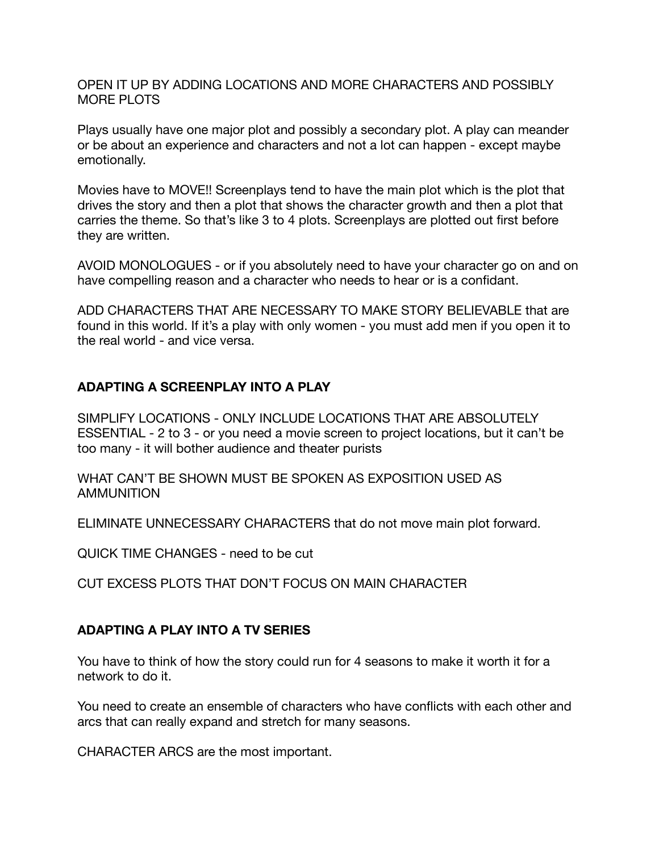OPEN IT UP BY ADDING LOCATIONS AND MORE CHARACTERS AND POSSIBLY MORE PLOTS

Plays usually have one major plot and possibly a secondary plot. A play can meander or be about an experience and characters and not a lot can happen - except maybe emotionally.

Movies have to MOVE!! Screenplays tend to have the main plot which is the plot that drives the story and then a plot that shows the character growth and then a plot that carries the theme. So that's like 3 to 4 plots. Screenplays are plotted out first before they are written.

AVOID MONOLOGUES - or if you absolutely need to have your character go on and on have compelling reason and a character who needs to hear or is a confidant.

ADD CHARACTERS THAT ARE NECESSARY TO MAKE STORY BELIEVABLE that are found in this world. If it's a play with only women - you must add men if you open it to the real world - and vice versa.

## **ADAPTING A SCREENPLAY INTO A PLAY**

SIMPLIFY LOCATIONS - ONLY INCLUDE LOCATIONS THAT ARE ABSOLUTELY ESSENTIAL - 2 to 3 - or you need a movie screen to project locations, but it can't be too many - it will bother audience and theater purists

WHAT CAN'T BE SHOWN MUST BE SPOKEN AS EXPOSITION USED AS AMMUNITION

ELIMINATE UNNECESSARY CHARACTERS that do not move main plot forward.

QUICK TIME CHANGES - need to be cut

CUT EXCESS PLOTS THAT DON'T FOCUS ON MAIN CHARACTER

#### **ADAPTING A PLAY INTO A TV SERIES**

You have to think of how the story could run for 4 seasons to make it worth it for a network to do it.

You need to create an ensemble of characters who have conflicts with each other and arcs that can really expand and stretch for many seasons.

CHARACTER ARCS are the most important.